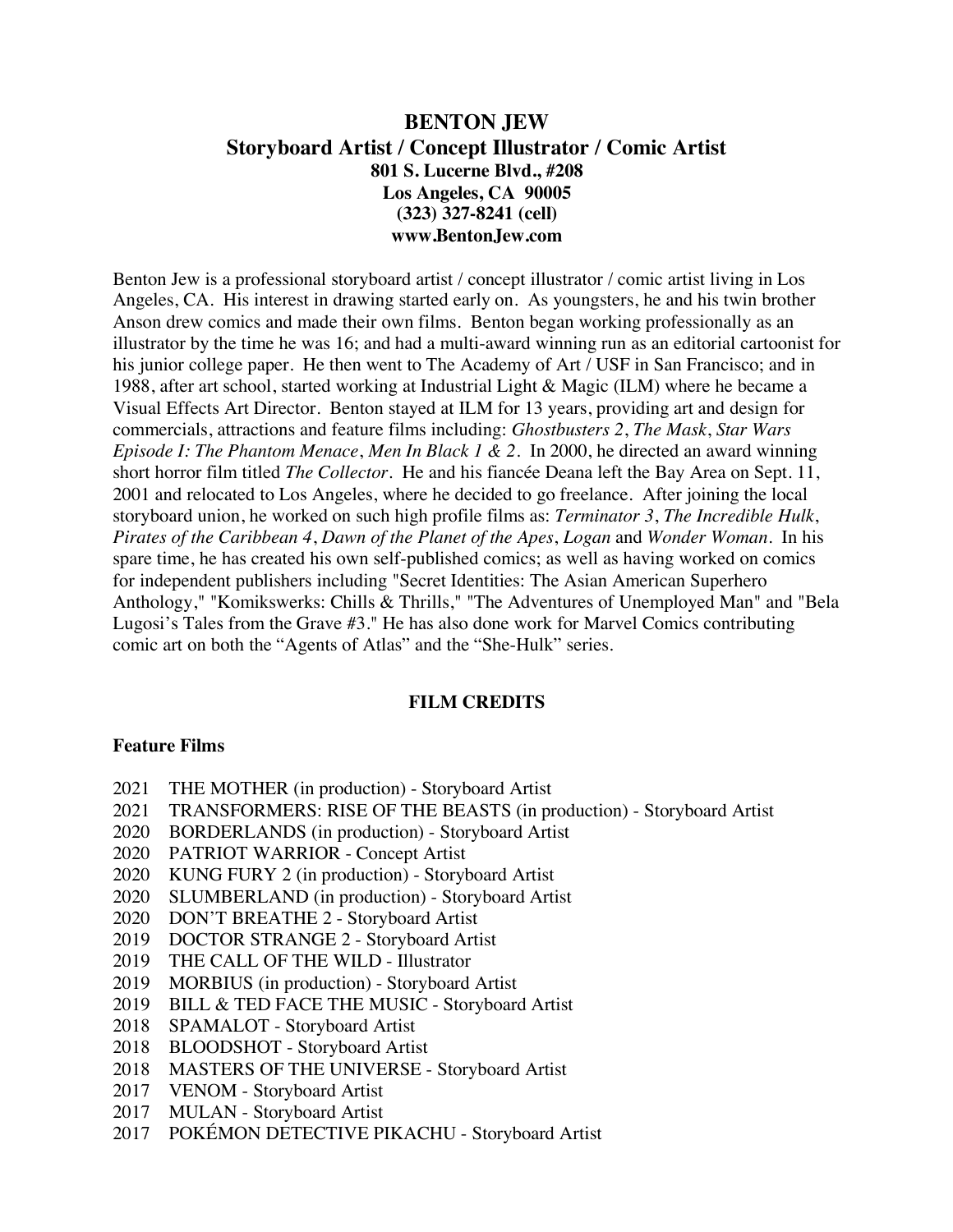# **BENTON JEW Storyboard Artist / Concept Illustrator / Comic Artist 801 S. Lucerne Blvd., #208 Los Angeles, CA 90005 (323) 327-8241 (cell) www.BentonJew.com**

Benton Jew is a professional storyboard artist / concept illustrator / comic artist living in Los Angeles, CA. His interest in drawing started early on. As youngsters, he and his twin brother Anson drew comics and made their own films. Benton began working professionally as an illustrator by the time he was 16; and had a multi-award winning run as an editorial cartoonist for his junior college paper. He then went to The Academy of Art / USF in San Francisco; and in 1988, after art school, started working at Industrial Light & Magic (ILM) where he became a Visual Effects Art Director. Benton stayed at ILM for 13 years, providing art and design for commercials, attractions and feature films including: *Ghostbusters 2*, *The Mask*, *Star Wars Episode I: The Phantom Menace*, *Men In Black 1 & 2*. In 2000, he directed an award winning short horror film titled *The Collector*. He and his fiancée Deana left the Bay Area on Sept. 11, 2001 and relocated to Los Angeles, where he decided to go freelance. After joining the local storyboard union, he worked on such high profile films as: *Terminator 3*, *The Incredible Hulk*, *Pirates of the Caribbean 4*, *Dawn of the Planet of the Apes*, *Logan* and *Wonder Woman*. In his spare time, he has created his own self-published comics; as well as having worked on comics for independent publishers including "Secret Identities: The Asian American Superhero Anthology," "Komikswerks: Chills & Thrills," "The Adventures of Unemployed Man" and "Bela Lugosi's Tales from the Grave #3." He has also done work for Marvel Comics contributing comic art on both the "Agents of Atlas" and the "She-Hulk" series.

### **FILM CREDITS**

#### **Feature Films**

- 2021 THE MOTHER (in production) Storyboard Artist
- 2021 TRANSFORMERS: RISE OF THE BEASTS (in production) Storyboard Artist
- 2020 BORDERLANDS (in production) Storyboard Artist
- 2020 PATRIOT WARRIOR Concept Artist
- 2020 KUNG FURY 2 (in production) Storyboard Artist
- 2020 SLUMBERLAND (in production) Storyboard Artist
- 2020 DON'T BREATHE 2 Storyboard Artist
- 2019 DOCTOR STRANGE 2 Storyboard Artist
- 2019 THE CALL OF THE WILD Illustrator
- 2019 MORBIUS (in production) Storyboard Artist
- 2019 BILL & TED FACE THE MUSIC Storyboard Artist
- 2018 SPAMALOT Storyboard Artist
- 2018 BLOODSHOT Storyboard Artist
- 2018 MASTERS OF THE UNIVERSE Storyboard Artist
- 2017 VENOM Storyboard Artist
- 2017 MULAN Storyboard Artist
- 2017 POKÉMON DETECTIVE PIKACHU Storyboard Artist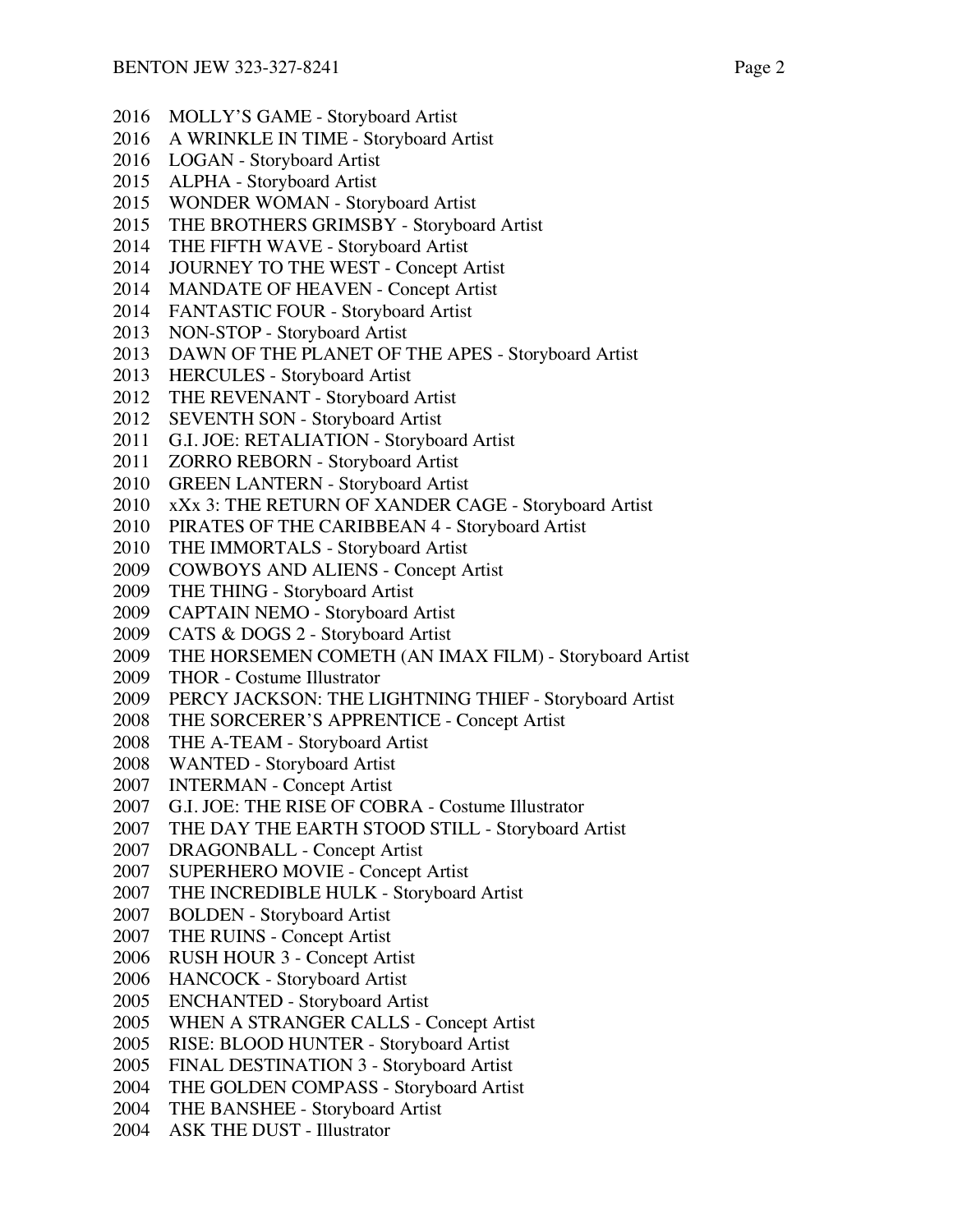- MOLLY'S GAME Storyboard Artist
- A WRINKLE IN TIME Storyboard Artist
- LOGAN Storyboard Artist
- ALPHA Storyboard Artist
- WONDER WOMAN Storyboard Artist
- THE BROTHERS GRIMSBY Storyboard Artist
- THE FIFTH WAVE Storyboard Artist
- JOURNEY TO THE WEST Concept Artist
- MANDATE OF HEAVEN Concept Artist
- FANTASTIC FOUR Storyboard Artist
- NON-STOP Storyboard Artist
- DAWN OF THE PLANET OF THE APES Storyboard Artist
- HERCULES Storyboard Artist
- THE REVENANT Storyboard Artist
- SEVENTH SON Storyboard Artist
- G.I. JOE: RETALIATION Storyboard Artist
- ZORRO REBORN Storyboard Artist
- GREEN LANTERN Storyboard Artist
- xXx 3: THE RETURN OF XANDER CAGE Storyboard Artist
- PIRATES OF THE CARIBBEAN 4 Storyboard Artist
- THE IMMORTALS Storyboard Artist
- COWBOYS AND ALIENS Concept Artist
- THE THING Storyboard Artist
- CAPTAIN NEMO Storyboard Artist
- CATS & DOGS 2 Storyboard Artist
- THE HORSEMEN COMETH (AN IMAX FILM) Storyboard Artist
- THOR Costume Illustrator
- PERCY JACKSON: THE LIGHTNING THIEF Storyboard Artist
- THE SORCERER'S APPRENTICE Concept Artist
- THE A-TEAM Storyboard Artist
- WANTED Storyboard Artist
- INTERMAN Concept Artist
- G.I. JOE: THE RISE OF COBRA Costume Illustrator
- THE DAY THE EARTH STOOD STILL Storyboard Artist
- DRAGONBALL Concept Artist
- SUPERHERO MOVIE Concept Artist
- THE INCREDIBLE HULK Storyboard Artist
- BOLDEN Storyboard Artist
- THE RUINS Concept Artist
- RUSH HOUR 3 Concept Artist
- HANCOCK Storyboard Artist
- ENCHANTED Storyboard Artist
- WHEN A STRANGER CALLS Concept Artist
- RISE: BLOOD HUNTER Storyboard Artist
- FINAL DESTINATION 3 Storyboard Artist
- THE GOLDEN COMPASS Storyboard Artist
- THE BANSHEE Storyboard Artist
- ASK THE DUST Illustrator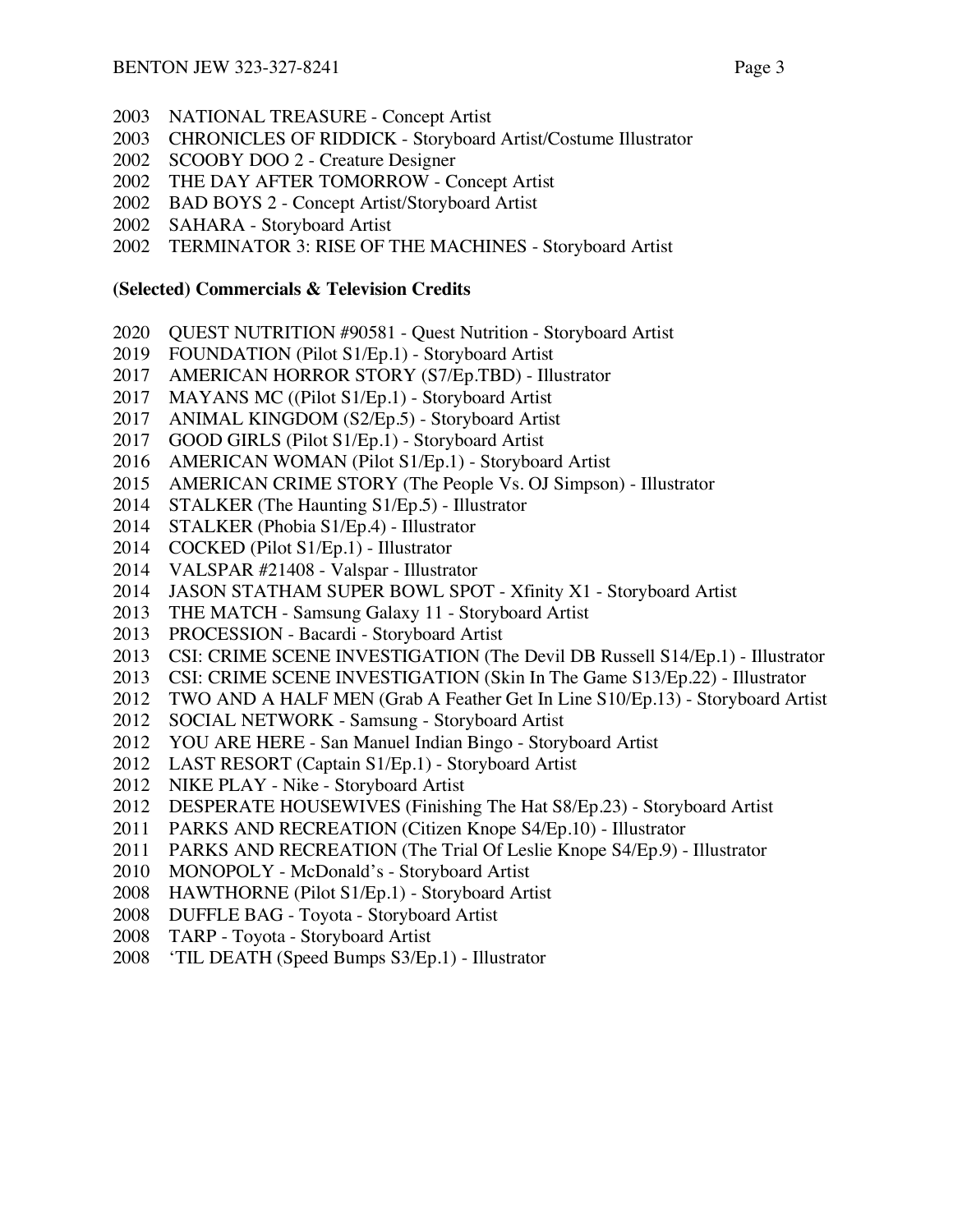- NATIONAL TREASURE Concept Artist
- CHRONICLES OF RIDDICK Storyboard Artist/Costume Illustrator
- SCOOBY DOO 2 Creature Designer
- THE DAY AFTER TOMORROW Concept Artist
- BAD BOYS 2 Concept Artist/Storyboard Artist
- SAHARA Storyboard Artist
- TERMINATOR 3: RISE OF THE MACHINES Storyboard Artist

#### **(Selected) Commercials & Television Credits**

- QUEST NUTRITION #90581 Quest Nutrition Storyboard Artist
- FOUNDATION (Pilot S1/Ep.1) Storyboard Artist
- AMERICAN HORROR STORY (S7/Ep.TBD) Illustrator
- MAYANS MC ((Pilot S1/Ep.1) Storyboard Artist
- ANIMAL KINGDOM (S2/Ep.5) Storyboard Artist
- GOOD GIRLS (Pilot S1/Ep.1) Storyboard Artist
- AMERICAN WOMAN (Pilot S1/Ep.1) Storyboard Artist
- AMERICAN CRIME STORY (The People Vs. OJ Simpson) Illustrator
- STALKER (The Haunting S1/Ep.5) Illustrator
- STALKER (Phobia S1/Ep.4) Illustrator
- COCKED (Pilot S1/Ep.1) Illustrator
- VALSPAR #21408 Valspar Illustrator
- JASON STATHAM SUPER BOWL SPOT Xfinity X1 Storyboard Artist
- THE MATCH Samsung Galaxy 11 Storyboard Artist
- PROCESSION Bacardi Storyboard Artist
- CSI: CRIME SCENE INVESTIGATION (The Devil DB Russell S14/Ep.1) Illustrator
- CSI: CRIME SCENE INVESTIGATION (Skin In The Game S13/Ep.22) Illustrator
- TWO AND A HALF MEN (Grab A Feather Get In Line S10/Ep.13) Storyboard Artist
- SOCIAL NETWORK Samsung Storyboard Artist
- YOU ARE HERE San Manuel Indian Bingo Storyboard Artist
- LAST RESORT (Captain S1/Ep.1) Storyboard Artist
- NIKE PLAY Nike Storyboard Artist
- DESPERATE HOUSEWIVES (Finishing The Hat S8/Ep.23) Storyboard Artist
- PARKS AND RECREATION (Citizen Knope S4/Ep.10) Illustrator
- PARKS AND RECREATION (The Trial Of Leslie Knope S4/Ep.9) Illustrator
- MONOPOLY McDonald's Storyboard Artist
- HAWTHORNE (Pilot S1/Ep.1) Storyboard Artist
- DUFFLE BAG Toyota Storyboard Artist
- TARP Toyota Storyboard Artist
- 'TIL DEATH (Speed Bumps S3/Ep.1) Illustrator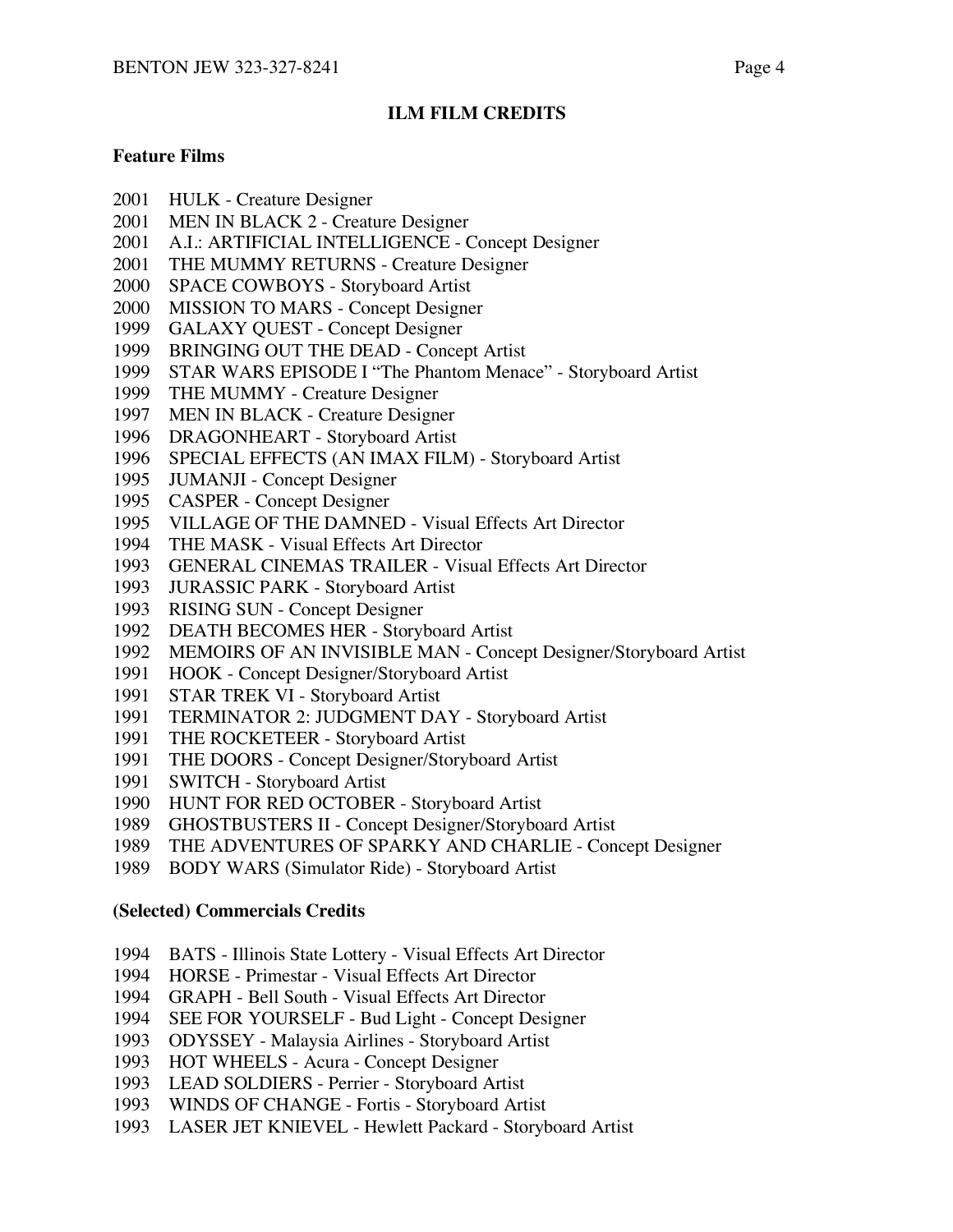## **ILM FILM CREDITS**

### **Feature Films**

- 2001 HULK Creature Designer
- 2001 MEN IN BLACK 2 Creature Designer
- 2001 A.I.: ARTIFICIAL INTELLIGENCE Concept Designer
- 2001 THE MUMMY RETURNS Creature Designer
- 2000 SPACE COWBOYS Storyboard Artist
- 2000 MISSION TO MARS Concept Designer
- 1999 GALAXY QUEST Concept Designer
- 1999 BRINGING OUT THE DEAD Concept Artist
- 1999 STAR WARS EPISODE I "The Phantom Menace" Storyboard Artist
- 1999 THE MUMMY Creature Designer
- 1997 MEN IN BLACK Creature Designer
- 1996 DRAGONHEART Storyboard Artist
- 1996 SPECIAL EFFECTS (AN IMAX FILM) Storyboard Artist
- 1995 JUMANJI Concept Designer
- 1995 CASPER Concept Designer
- 1995 VILLAGE OF THE DAMNED Visual Effects Art Director
- 1994 THE MASK Visual Effects Art Director
- 1993 GENERAL CINEMAS TRAILER Visual Effects Art Director
- 1993 JURASSIC PARK Storyboard Artist
- 1993 RISING SUN Concept Designer
- 1992 DEATH BECOMES HER Storyboard Artist
- 1992 MEMOIRS OF AN INVISIBLE MAN Concept Designer/Storyboard Artist
- 1991 HOOK Concept Designer/Storyboard Artist
- 1991 STAR TREK VI Storyboard Artist
- 1991 TERMINATOR 2: JUDGMENT DAY Storyboard Artist
- 1991 THE ROCKETEER Storyboard Artist
- 1991 THE DOORS Concept Designer/Storyboard Artist
- 1991 SWITCH Storyboard Artist
- 1990 HUNT FOR RED OCTOBER Storyboard Artist
- 1989 GHOSTBUSTERS II Concept Designer/Storyboard Artist
- 1989 THE ADVENTURES OF SPARKY AND CHARLIE Concept Designer
- 1989 BODY WARS (Simulator Ride) Storyboard Artist

### **(Selected) Commercials Credits**

- 1994 BATS Illinois State Lottery Visual Effects Art Director
- 1994 HORSE Primestar Visual Effects Art Director
- 1994 GRAPH Bell South Visual Effects Art Director
- 1994 SEE FOR YOURSELF Bud Light Concept Designer
- 1993 ODYSSEY Malaysia Airlines Storyboard Artist
- 1993 HOT WHEELS Acura Concept Designer
- 1993 LEAD SOLDIERS Perrier Storyboard Artist
- 1993 WINDS OF CHANGE Fortis Storyboard Artist
- 1993 LASER JET KNIEVEL Hewlett Packard Storyboard Artist